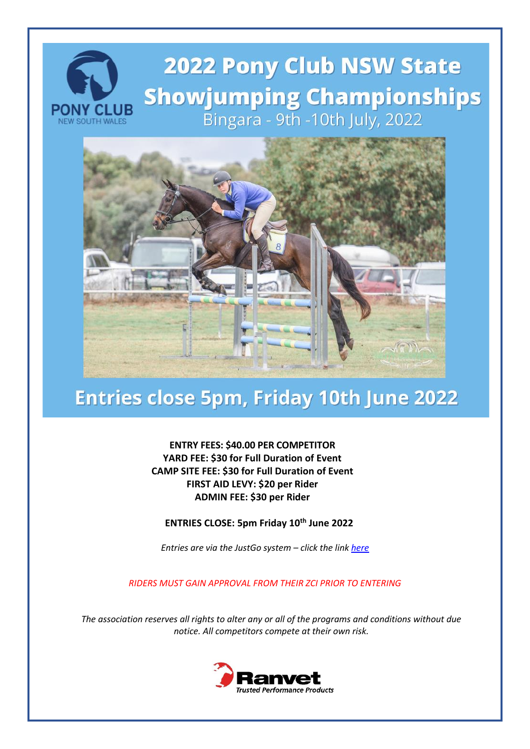# **2022 Pony Club NSW State Showjumping Championships** Bingara - 9th -10th July, 2022



## Entries close 5pm, Friday 10th June 2022

**ENTRY FEES: \$40.00 PER COMPETITOR YARD FEE: \$30 for Full Duration of Event CAMP SITE FEE: \$30 for Full Duration of Event FIRST AID LEVY: \$20 per Rider ADMIN FEE: \$30 per Rider**

**ENTRIES CLOSE: 5pm Friday 10th June 2022**

*Entries are via the JustGo system – click the lin[k here](https://pca.justgo.com/Workbench.mvc/Show/6?ref=DE590B5F04233D88C0A8764B27CB56D5F31A1192)*

*RIDERS MUST GAIN APPROVAL FROM THEIR ZCI PRIOR TO ENTERING*

*The association reserves all rights to alter any or all of the programs and conditions without due notice. All competitors compete at their own risk.*

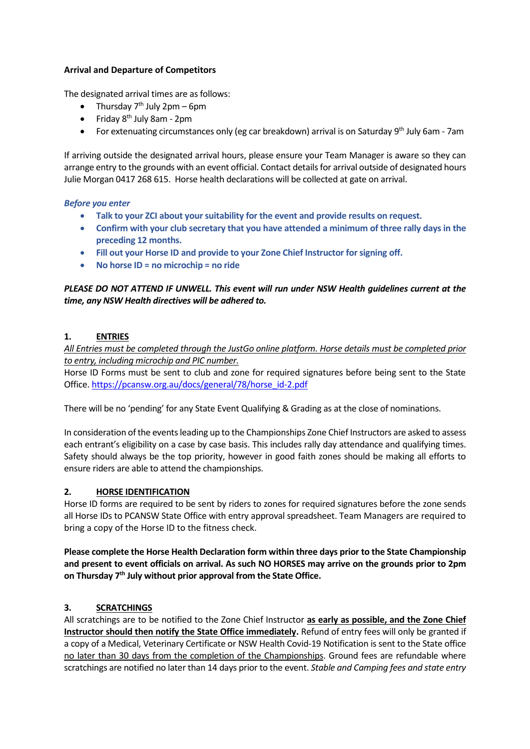## **Arrival and Departure of Competitors**

The designated arrival times are as follows:

- Thursday  $7<sup>th</sup>$  July 2pm 6pm
- Friday 8<sup>th</sup> July 8am 2pm
- For extenuating circumstances only (eg car breakdown) arrival is on Saturday 9<sup>th</sup> July 6am 7am

If arriving outside the designated arrival hours, please ensure your Team Manager is aware so they can arrange entry to the grounds with an event official. Contact details for arrival outside of designated hours Julie Morgan 0417 268 615. Horse health declarations will be collected at gate on arrival.

#### *Before you enter*

- **Talk to your ZCI about your suitability for the event and provide results on request.**
- **Confirm with your club secretary that you have attended a minimum of three rally days in the preceding 12 months.**
- **Fill out your Horse ID and provide to your Zone Chief Instructor for signing off.**
- **No horse ID = no microchip = no ride**

*PLEASE DO NOT ATTEND IF UNWELL. This event will run under NSW Health guidelines current at the time, any NSW Health directives will be adhered to.* 

## **1. ENTRIES**

*All Entries must be completed through the JustGo online platform. Horse details must be completed prior to entry, including microchip and PIC number.* 

Horse ID Forms must be sent to club and zone for required signatures before being sent to the State Office. [https://pcansw.org.au/docs/general/78/horse\\_id-2.pdf](https://pcansw.org.au/docs/general/78/horse_id-2.pdf)

There will be no 'pending' for any State Event Qualifying & Grading as at the close of nominations.

In consideration of the events leading up to the Championships Zone Chief Instructors are asked to assess each entrant's eligibility on a case by case basis. This includes rally day attendance and qualifying times. Safety should always be the top priority, however in good faith zones should be making all efforts to ensure riders are able to attend the championships.

#### **2. HORSE IDENTIFICATION**

Horse ID forms are required to be sent by riders to zones for required signatures before the zone sends all Horse IDs to PCANSW State Office with entry approval spreadsheet. Team Managers are required to bring a copy of the Horse ID to the fitness check.

**Please complete the Horse Health Declaration form within three days prior to the State Championship and present to event officials on arrival. As such NO HORSES may arrive on the grounds prior to 2pm on Thursday 7th July without prior approval from the State Office.**

## **3. SCRATCHINGS**

All scratchings are to be notified to the Zone Chief Instructor **as early as possible, and the Zone Chief Instructor should then notify the State Office immediately.** Refund of entry fees will only be granted if a copy of a Medical, Veterinary Certificate or NSW Health Covid-19 Notification is sent to the State office no later than 30 days from the completion of the Championships. Ground fees are refundable where scratchings are notified no later than 14 days prior to the event. *Stable and Camping fees and state entry*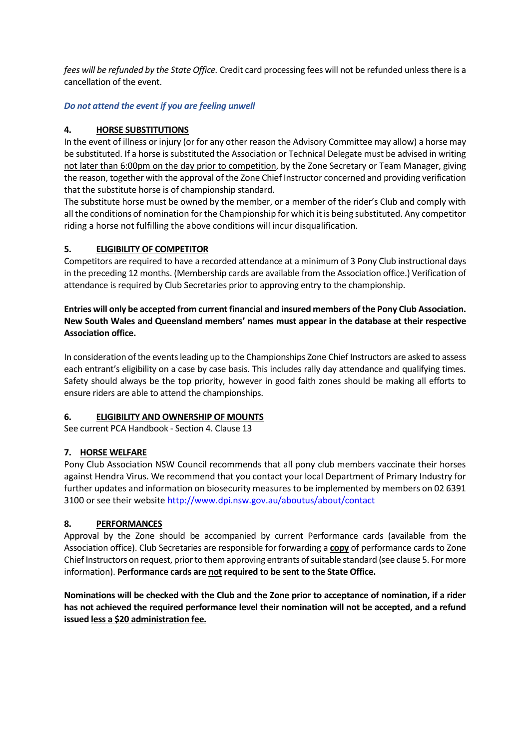*fees will be refunded by the State Office.* Credit card processing fees will not be refunded unless there is a cancellation of the event.

## *Do not attend the event if you are feeling unwell*

## **4. HORSE SUBSTITUTIONS**

In the event of illness or injury (or for any other reason the Advisory Committee may allow) a horse may be substituted. If a horse is substituted the Association or Technical Delegate must be advised in writing not later than 6:00pm on the day prior to competition, by the Zone Secretary or Team Manager, giving the reason, together with the approval of the Zone Chief Instructor concerned and providing verification that the substitute horse is of championship standard.

The substitute horse must be owned by the member, or a member of the rider's Club and comply with all the conditions of nomination for the Championship for which it is being substituted. Any competitor riding a horse not fulfilling the above conditions will incur disqualification.

## **5. ELIGIBILITY OF COMPETITOR**

Competitors are required to have a recorded attendance at a minimum of 3 Pony Club instructional days in the preceding 12 months. (Membership cards are available from the Association office.) Verification of attendance is required by Club Secretaries prior to approving entry to the championship.

**Entries will only be accepted from current financial and insured members of the Pony Club Association. New South Wales and Queensland members' names must appear in the database at their respective Association office.** 

In consideration of the events leading up to the Championships Zone Chief Instructors are asked to assess each entrant's eligibility on a case by case basis. This includes rally day attendance and qualifying times. Safety should always be the top priority, however in good faith zones should be making all efforts to ensure riders are able to attend the championships.

#### **6. ELIGIBILITY AND OWNERSHIP OF MOUNTS**

See current PCA Handbook - Section 4. Clause 13

#### **7. HORSE WELFARE**

Pony Club Association NSW Council recommends that all pony club members vaccinate their horses against Hendra Virus. We recommend that you contact your local Department of Primary Industry for further updates and information on biosecurity measures to be implemented by members on 02 6391 3100 or see their website<http://www.dpi.nsw.gov.au/aboutus/about/contact>

#### **8. PERFORMANCES**

Approval by the Zone should be accompanied by current Performance cards (available from the Association office). Club Secretaries are responsible for forwarding a **copy** of performance cards to Zone Chief Instructors on request, prior to them approving entrants of suitable standard (see clause 5. For more information). **Performance cards are not required to be sent to the State Office.**

**Nominations will be checked with the Club and the Zone prior to acceptance of nomination, if a rider has not achieved the required performance level their nomination will not be accepted, and a refund issued less a \$20 administration fee.**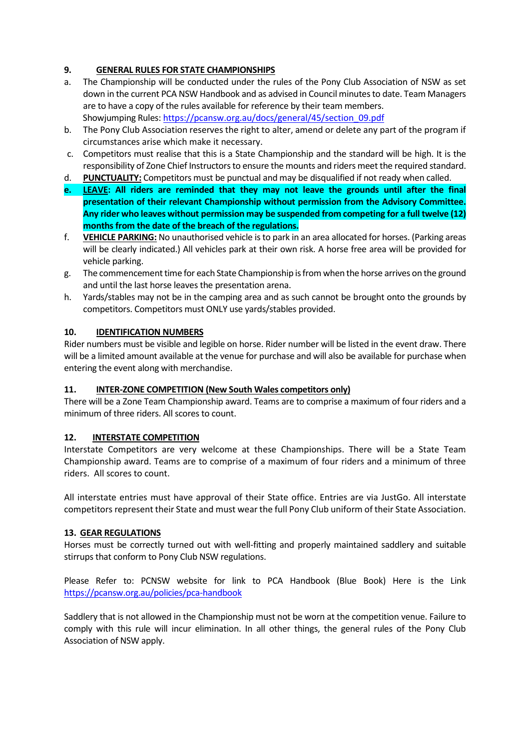## **9. GENERAL RULES FOR STATE CHAMPIONSHIPS**

- a. The Championship will be conducted under the rules of the Pony Club Association of NSW as set down in the current PCA NSW Handbook and as advised in Council minutes to date. Team Managers are to have a copy of the rules available for reference by their team members. Showjumping Rules[: https://pcansw.org.au/docs/general/45/section\\_09.pdf](https://pcansw.org.au/docs/general/45/section_09.pdf)
- b. The Pony Club Association reserves the right to alter, amend or delete any part of the program if circumstances arise which make it necessary.
- c. Competitors must realise that this is a State Championship and the standard will be high. It is the responsibility of Zone Chief Instructors to ensure the mounts and riders meet the required standard.
- d. **PUNCTUALITY:** Competitors must be punctual and may be disqualified if not ready when called.
- **e. LEAVE: All riders are reminded that they may not leave the grounds until after the final presentation of their relevant Championship without permission from the Advisory Committee. Any rider who leaves without permission may be suspended from competing for a full twelve (12) months from the date of the breach of the regulations.**
- f. **VEHICLE PARKING:** No unauthorised vehicle is to park in an area allocated for horses. (Parking areas will be clearly indicated.) All vehicles park at their own risk. A horse free area will be provided for vehicle parking.
- g. The commencement time for each State Championship is from when the horse arrives on the ground and until the last horse leaves the presentation arena.
- h. Yards/stables may not be in the camping area and as such cannot be brought onto the grounds by competitors. Competitors must ONLY use yards/stables provided.

#### **10. IDENTIFICATION NUMBERS**

Rider numbers must be visible and legible on horse. Rider number will be listed in the event draw. There will be a limited amount available at the venue for purchase and will also be available for purchase when entering the event along with merchandise.

#### **11. INTER-ZONE COMPETITION (New South Wales competitors only)**

There will be a Zone Team Championship award. Teams are to comprise a maximum of four riders and a minimum of three riders. All scores to count.

#### **12. INTERSTATE COMPETITION**

Interstate Competitors are very welcome at these Championships. There will be a State Team Championship award. Teams are to comprise of a maximum of four riders and a minimum of three riders. All scores to count.

All interstate entries must have approval of their State office. Entries are via JustGo. All interstate competitors represent their State and must wear the full Pony Club uniform of their State Association.

## **13. GEAR REGULATIONS**

Horses must be correctly turned out with well-fitting and properly maintained saddlery and suitable stirrups that conform to Pony Club NSW regulations.

Please Refer to: PCNSW website for link to PCA Handbook (Blue Book) Here is the Link <https://pcansw.org.au/policies/pca-handbook>

Saddlery that is not allowed in the Championship must not be worn at the competition venue. Failure to comply with this rule will incur elimination. In all other things, the general rules of the Pony Club Association of NSW apply.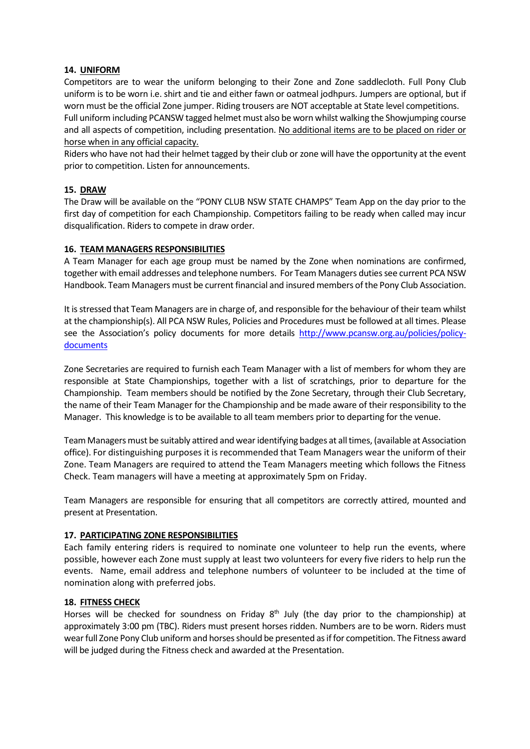#### **14. UNIFORM**

Competitors are to wear the uniform belonging to their Zone and Zone saddlecloth. Full Pony Club uniform is to be worn i.e. shirt and tie and either fawn or oatmeal jodhpurs. Jumpers are optional, but if worn must be the official Zone jumper. Riding trousers are NOT acceptable at State level competitions. Full uniform including PCANSW tagged helmet must also be worn whilst walking the Showjumping course and all aspects of competition, including presentation. No additional items are to be placed on rider or horse when in any official capacity.

Riders who have not had their helmet tagged by their club or zone will have the opportunity at the event prior to competition. Listen for announcements.

## **15. DRAW**

The Draw will be available on the "PONY CLUB NSW STATE CHAMPS" Team App on the day prior to the first day of competition for each Championship. Competitors failing to be ready when called may incur disqualification. Riders to compete in draw order.

#### **16. TEAM MANAGERS RESPONSIBILITIES**

A Team Manager for each age group must be named by the Zone when nominations are confirmed, together with email addresses and telephone numbers. For Team Managers duties see current PCA NSW Handbook. Team Managers must be current financial and insured members of the Pony Club Association.

It is stressed that Team Managers are in charge of, and responsible for the behaviour of their team whilst at the championship(s). All PCA NSW Rules, Policies and Procedures must be followed at all times. Please see the Association's policy documents for more details [http://www.pcansw.org.au/policies/policy](http://www.pcansw.org.au/policies/policy-documents)[documents](http://www.pcansw.org.au/policies/policy-documents)

Zone Secretaries are required to furnish each Team Manager with a list of members for whom they are responsible at State Championships, together with a list of scratchings, prior to departure for the Championship. Team members should be notified by the Zone Secretary, through their Club Secretary, the name of their Team Manager for the Championship and be made aware of their responsibility to the Manager. This knowledge is to be available to all team members prior to departing for the venue.

Team Managers must be suitably attired and wear identifying badges at all times, (available at Association office). For distinguishing purposes it is recommended that Team Managers wear the uniform of their Zone. Team Managers are required to attend the Team Managers meeting which follows the Fitness Check. Team managers will have a meeting at approximately 5pm on Friday.

Team Managers are responsible for ensuring that all competitors are correctly attired, mounted and present at Presentation.

#### **17. PARTICIPATING ZONE RESPONSIBILITIES**

Each family entering riders is required to nominate one volunteer to help run the events, where possible, however each Zone must supply at least two volunteers for every five riders to help run the events. Name, email address and telephone numbers of volunteer to be included at the time of nomination along with preferred jobs.

#### **18. FITNESS CHECK**

Horses will be checked for soundness on Friday 8<sup>th</sup> July (the day prior to the championship) at approximately 3:00 pm (TBC). Riders must present horses ridden. Numbers are to be worn. Riders must wear full Zone Pony Club uniform and horses should be presented as if for competition. The Fitness award will be judged during the Fitness check and awarded at the Presentation.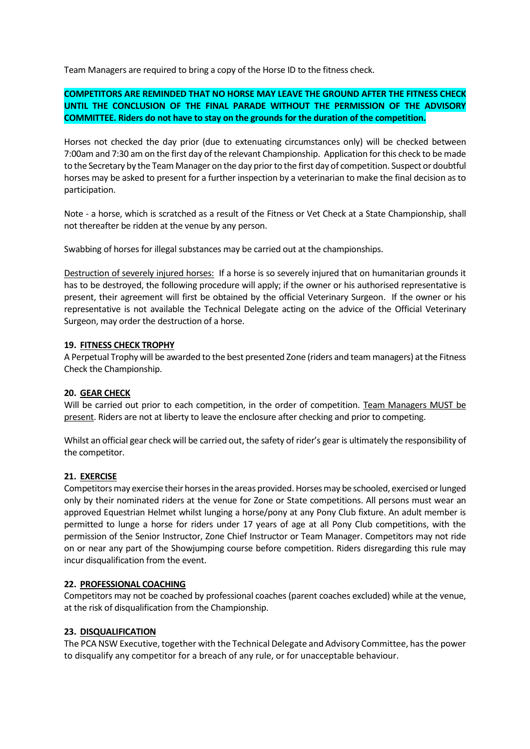Team Managers are required to bring a copy of the Horse ID to the fitness check.

## **COMPETITORS ARE REMINDED THAT NO HORSE MAY LEAVE THE GROUND AFTER THE FITNESS CHECK UNTIL THE CONCLUSION OF THE FINAL PARADE WITHOUT THE PERMISSION OF THE ADVISORY COMMITTEE. Riders do not have to stay on the grounds for the duration of the competition.**

Horses not checked the day prior (due to extenuating circumstances only) will be checked between 7:00am and 7:30 am on the first day of the relevant Championship. Application for this check to be made to the Secretary by the Team Manager on the day prior to the first day of competition. Suspect or doubtful horses may be asked to present for a further inspection by a veterinarian to make the final decision as to participation.

Note - a horse, which is scratched as a result of the Fitness or Vet Check at a State Championship, shall not thereafter be ridden at the venue by any person.

Swabbing of horses for illegal substances may be carried out at the championships.

Destruction of severely injured horses: If a horse is so severely injured that on humanitarian grounds it has to be destroyed, the following procedure will apply; if the owner or his authorised representative is present, their agreement will first be obtained by the official Veterinary Surgeon. If the owner or his representative is not available the Technical Delegate acting on the advice of the Official Veterinary Surgeon, may order the destruction of a horse.

#### **19. FITNESS CHECK TROPHY**

A Perpetual Trophy will be awarded to the best presented Zone (riders and team managers) at the Fitness Check the Championship.

#### **20. GEAR CHECK**

Will be carried out prior to each competition, in the order of competition. Team Managers MUST be present. Riders are not at liberty to leave the enclosure after checking and prior to competing.

Whilst an official gear check will be carried out, the safety of rider's gear is ultimately the responsibility of the competitor.

#### **21. EXERCISE**

Competitors may exercise their horses in the areas provided. Horses may be schooled, exercised or lunged only by their nominated riders at the venue for Zone or State competitions. All persons must wear an approved Equestrian Helmet whilst lunging a horse/pony at any Pony Club fixture. An adult member is permitted to lunge a horse for riders under 17 years of age at all Pony Club competitions, with the permission of the Senior Instructor, Zone Chief Instructor or Team Manager. Competitors may not ride on or near any part of the Showjumping course before competition. Riders disregarding this rule may incur disqualification from the event.

#### **22. PROFESSIONAL COACHING**

Competitors may not be coached by professional coaches (parent coaches excluded) while at the venue, at the risk of disqualification from the Championship.

#### **23. DISQUALIFICATION**

The PCANSW Executive, together with the Technical Delegate and Advisory Committee, has the power to disqualify any competitor for a breach of any rule, or for unacceptable behaviour.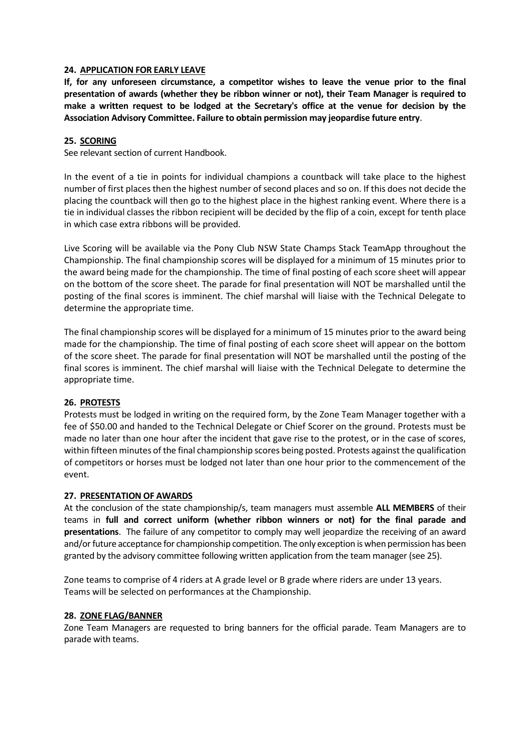#### **24. APPLICATION FOR EARLY LEAVE**

**If, for any unforeseen circumstance, a competitor wishes to leave the venue prior to the final presentation of awards (whether they be ribbon winner or not), their Team Manager is required to make a written request to be lodged at the Secretary's office at the venue for decision by the Association Advisory Committee. Failure to obtain permission may jeopardise future entry**.

#### **25. SCORING**

See relevant section of current Handbook.

In the event of a tie in points for individual champions a countback will take place to the highest number of first places then the highest number of second places and so on. If this does not decide the placing the countback will then go to the highest place in the highest ranking event. Where there is a tie in individual classes the ribbon recipient will be decided by the flip of a coin, except for tenth place in which case extra ribbons will be provided.

Live Scoring will be available via the Pony Club NSW State Champs Stack TeamApp throughout the Championship. The final championship scores will be displayed for a minimum of 15 minutes prior to the award being made for the championship. The time of final posting of each score sheet will appear on the bottom of the score sheet. The parade for final presentation will NOT be marshalled until the posting of the final scores is imminent. The chief marshal will liaise with the Technical Delegate to determine the appropriate time.

The final championship scores will be displayed for a minimum of 15 minutes prior to the award being made for the championship. The time of final posting of each score sheet will appear on the bottom of the score sheet. The parade for final presentation will NOT be marshalled until the posting of the final scores is imminent. The chief marshal will liaise with the Technical Delegate to determine the appropriate time.

#### **26. PROTESTS**

Protests must be lodged in writing on the required form, by the Zone Team Manager together with a fee of \$50.00 and handed to the Technical Delegate or Chief Scorer on the ground. Protests must be made no later than one hour after the incident that gave rise to the protest, or in the case of scores, within fifteen minutes of the final championship scores being posted. Protests against the qualification of competitors or horses must be lodged not later than one hour prior to the commencement of the event.

#### **27. PRESENTATION OF AWARDS**

At the conclusion of the state championship/s, team managers must assemble **ALL MEMBERS** of their teams in **full and correct uniform (whether ribbon winners or not) for the final parade and presentations**. The failure of any competitor to comply may well jeopardize the receiving of an award and/or future acceptance for championship competition. The only exception is when permission has been granted by the advisory committee following written application from the team manager (see 25).

Zone teams to comprise of 4 riders at A grade level or B grade where riders are under 13 years. Teams will be selected on performances at the Championship.

#### **28. ZONE FLAG/BANNER**

Zone Team Managers are requested to bring banners for the official parade. Team Managers are to parade with teams.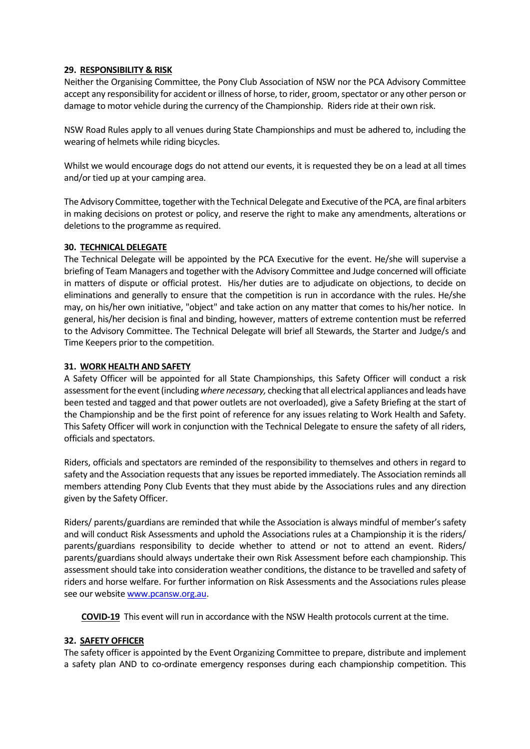#### **29. RESPONSIBILITY & RISK**

Neither the Organising Committee, the Pony Club Association of NSW nor the PCA Advisory Committee accept any responsibility for accident or illness of horse, to rider, groom, spectator or any other person or damage to motor vehicle during the currency of the Championship. Riders ride at their own risk.

NSW Road Rules apply to all venues during State Championships and must be adhered to, including the wearing of helmets while riding bicycles.

Whilst we would encourage dogs do not attend our events, it is requested they be on a lead at all times and/or tied up at your camping area.

The Advisory Committee, together with the Technical Delegate and Executive of the PCA, are final arbiters in making decisions on protest or policy, and reserve the right to make any amendments, alterations or deletions to the programme as required.

#### **30. TECHNICAL DELEGATE**

The Technical Delegate will be appointed by the PCA Executive for the event. He/she will supervise a briefing of Team Managers and together with the Advisory Committee and Judge concerned will officiate in matters of dispute or official protest. His/her duties are to adjudicate on objections, to decide on eliminations and generally to ensure that the competition is run in accordance with the rules. He/she may, on his/her own initiative, "object" and take action on any matter that comes to his/her notice. In general, his/her decision is final and binding, however, matters of extreme contention must be referred to the Advisory Committee. The Technical Delegate will brief all Stewards, the Starter and Judge/s and Time Keepers prior to the competition.

## **31. WORK HEALTH AND SAFETY**

A Safety Officer will be appointed for all State Championships, this Safety Officer will conduct a risk assessment for the event (including *where necessary,* checking that all electrical appliances and leads have been tested and tagged and that power outlets are not overloaded), give a Safety Briefing at the start of the Championship and be the first point of reference for any issues relating to Work Health and Safety. This Safety Officer will work in conjunction with the Technical Delegate to ensure the safety of all riders, officials and spectators.

Riders, officials and spectators are reminded of the responsibility to themselves and others in regard to safety and the Association requests that any issues be reported immediately. The Association reminds all members attending Pony Club Events that they must abide by the Associations rules and any direction given by the Safety Officer.

Riders/ parents/guardians are reminded that while the Association is always mindful of member's safety and will conduct Risk Assessments and uphold the Associations rules at a Championship it is the riders/ parents/guardians responsibility to decide whether to attend or not to attend an event. Riders/ parents/guardians should always undertake their own Risk Assessment before each championship. This assessment should take into consideration weather conditions, the distance to be travelled and safety of riders and horse welfare. For further information on Risk Assessments and the Associations rules please see our website [www.pcansw.org.au.](http://www.pcansw.org.au/)

**COVID-19** This event will run in accordance with the NSW Health protocols current at the time.

## **32. SAFETY OFFICER**

The safety officer is appointed by the Event Organizing Committee to prepare, distribute and implement a safety plan AND to co-ordinate emergency responses during each championship competition. This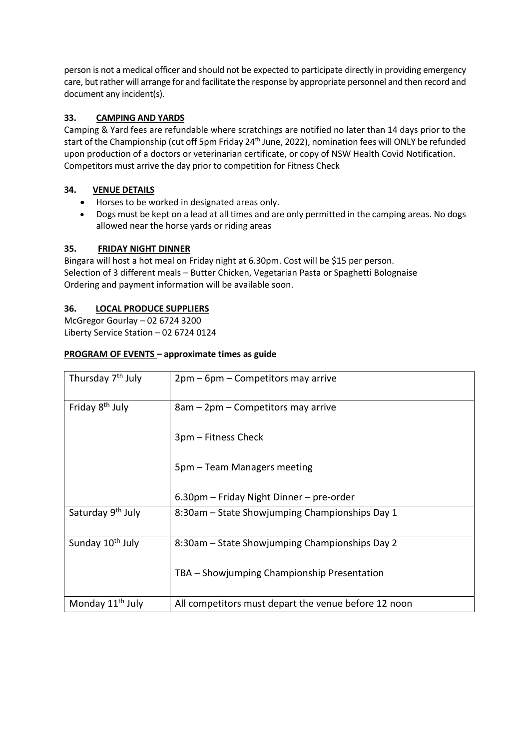person is not a medical officer and should not be expected to participate directly in providing emergency care, but rather will arrange for and facilitate the response by appropriate personnel and then record and document any incident(s).

## **33. CAMPING AND YARDS**

Camping & Yard fees are refundable where scratchings are notified no later than 14 days prior to the start of the Championship (cut off 5pm Friday 24<sup>th</sup> June, 2022), nomination fees will ONLY be refunded upon production of a doctors or veterinarian certificate, or copy of NSW Health Covid Notification. Competitors must arrive the day prior to competition for Fitness Check

## **34. VENUE DETAILS**

- Horses to be worked in designated areas only.
- Dogs must be kept on a lead at all times and are only permitted in the camping areas. No dogs allowed near the horse yards or riding areas

## **35. FRIDAY NIGHT DINNER**

Bingara will host a hot meal on Friday night at 6.30pm. Cost will be \$15 per person. Selection of 3 different meals – Butter Chicken, Vegetarian Pasta or Spaghetti Bolognaise Ordering and payment information will be available soon.

## **36. LOCAL PRODUCE SUPPLIERS**

McGregor Gourlay – 02 6724 3200 Liberty Service Station – 02 6724 0124

## **PROGRAM OF EVENTS – approximate times as guide**

| Thursday 7 <sup>th</sup> July | $2pm-6pm-$ Competitors may arrive                    |
|-------------------------------|------------------------------------------------------|
| Friday 8 <sup>th</sup> July   | 8am – 2pm – Competitors may arrive                   |
|                               | 3pm – Fitness Check                                  |
|                               | 5pm – Team Managers meeting                          |
|                               | 6.30pm – Friday Night Dinner – pre-order             |
| Saturday 9 <sup>th</sup> July | 8:30am – State Showjumping Championships Day 1       |
| Sunday 10 <sup>th</sup> July  | 8:30am – State Showjumping Championships Day 2       |
|                               | TBA – Showjumping Championship Presentation          |
| Monday 11 <sup>th</sup> July  | All competitors must depart the venue before 12 noon |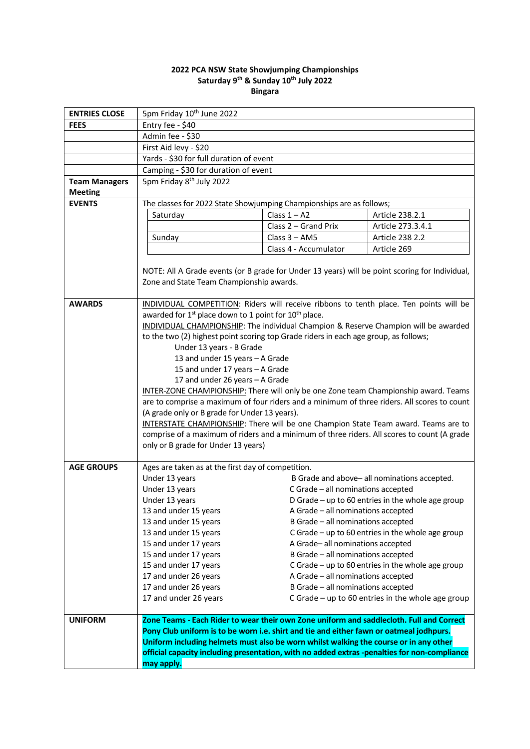#### **2022 PCA NSW State Showjumping Championships Saturday 9 th & Sunday 10th July 2022 Bingara**

| <b>ENTRIES CLOSE</b>                   | 5pm Friday 10 <sup>th</sup> June 2022                                                          |                                    |                                                     |  |
|----------------------------------------|------------------------------------------------------------------------------------------------|------------------------------------|-----------------------------------------------------|--|
| <b>FEES</b>                            | Entry fee - \$40                                                                               |                                    |                                                     |  |
|                                        | Admin fee - \$30                                                                               |                                    |                                                     |  |
|                                        | First Aid levy - \$20                                                                          |                                    |                                                     |  |
|                                        | Yards - \$30 for full duration of event                                                        |                                    |                                                     |  |
|                                        | Camping - \$30 for duration of event                                                           |                                    |                                                     |  |
| <b>Team Managers</b><br><b>Meeting</b> | 5pm Friday 8 <sup>th</sup> July 2022                                                           |                                    |                                                     |  |
| <b>EVENTS</b>                          | The classes for 2022 State Showjumping Championships are as follows;                           |                                    |                                                     |  |
|                                        | Saturday                                                                                       | Class $1 - A2$                     | Article 238.2.1                                     |  |
|                                        |                                                                                                | Class 2 – Grand Prix               | Article 273.3.4.1                                   |  |
|                                        | Sunday                                                                                         | Class $3 - AM5$                    | Article 238 2.2                                     |  |
|                                        |                                                                                                | Class 4 - Accumulator              | Article 269                                         |  |
|                                        |                                                                                                |                                    |                                                     |  |
|                                        | NOTE: All A Grade events (or B grade for Under 13 years) will be point scoring for Individual, |                                    |                                                     |  |
|                                        | Zone and State Team Championship awards.                                                       |                                    |                                                     |  |
|                                        |                                                                                                |                                    |                                                     |  |
| <b>AWARDS</b>                          | INDIVIDUAL COMPETITION: Riders will receive ribbons to tenth place. Ten points will be         |                                    |                                                     |  |
|                                        | awarded for 1 <sup>st</sup> place down to 1 point for 10 <sup>th</sup> place.                  |                                    |                                                     |  |
|                                        | INDIVIDUAL CHAMPIONSHIP: The individual Champion & Reserve Champion will be awarded            |                                    |                                                     |  |
|                                        | to the two (2) highest point scoring top Grade riders in each age group, as follows;           |                                    |                                                     |  |
|                                        | Under 13 years - B Grade                                                                       |                                    |                                                     |  |
|                                        | 13 and under 15 years - A Grade                                                                |                                    |                                                     |  |
|                                        | 15 and under 17 years - A Grade                                                                |                                    |                                                     |  |
|                                        | 17 and under 26 years - A Grade                                                                |                                    |                                                     |  |
|                                        | INTER-ZONE CHAMPIONSHIP: There will only be one Zone team Championship award. Teams            |                                    |                                                     |  |
|                                        | are to comprise a maximum of four riders and a minimum of three riders. All scores to count    |                                    |                                                     |  |
|                                        | (A grade only or B grade for Under 13 years).                                                  |                                    |                                                     |  |
|                                        | INTERSTATE CHAMPIONSHIP: There will be one Champion State Team award. Teams are to             |                                    |                                                     |  |
|                                        | comprise of a maximum of riders and a minimum of three riders. All scores to count (A grade    |                                    |                                                     |  |
|                                        | only or B grade for Under 13 years)                                                            |                                    |                                                     |  |
| <b>AGE GROUPS</b>                      | Ages are taken as at the first day of competition.                                             |                                    |                                                     |  |
|                                        | Under 13 years                                                                                 |                                    | B Grade and above-all nominations accepted.         |  |
|                                        | Under 13 years                                                                                 | C Grade - all nominations accepted |                                                     |  |
|                                        | Under 13 years                                                                                 |                                    | D Grade - up to 60 entries in the whole age group   |  |
|                                        | 13 and under 15 years                                                                          | A Grade - all nominations accepted |                                                     |  |
|                                        | 13 and under 15 years                                                                          | B Grade - all nominations accepted |                                                     |  |
|                                        | 13 and under 15 years                                                                          |                                    | C Grade - up to 60 entries in the whole age group   |  |
|                                        | 15 and under 17 years                                                                          | A Grade-all nominations accepted   |                                                     |  |
|                                        | 15 and under 17 years                                                                          | B Grade - all nominations accepted |                                                     |  |
|                                        | 15 and under 17 years                                                                          |                                    | C Grade $-$ up to 60 entries in the whole age group |  |
|                                        | 17 and under 26 years                                                                          | A Grade - all nominations accepted |                                                     |  |
|                                        | 17 and under 26 years                                                                          | B Grade - all nominations accepted |                                                     |  |
|                                        | 17 and under 26 years                                                                          |                                    | C Grade - up to 60 entries in the whole age group   |  |
| <b>UNIFORM</b>                         | Zone Teams - Each Rider to wear their own Zone uniform and saddlecloth. Full and Correct       |                                    |                                                     |  |
|                                        | Pony Club uniform is to be worn i.e. shirt and tie and either fawn or oatmeal jodhpurs.        |                                    |                                                     |  |
|                                        | Uniform including helmets must also be worn whilst walking the course or in any other          |                                    |                                                     |  |
|                                        | official capacity including presentation, with no added extras -penalties for non-compliance   |                                    |                                                     |  |
|                                        | may apply.                                                                                     |                                    |                                                     |  |